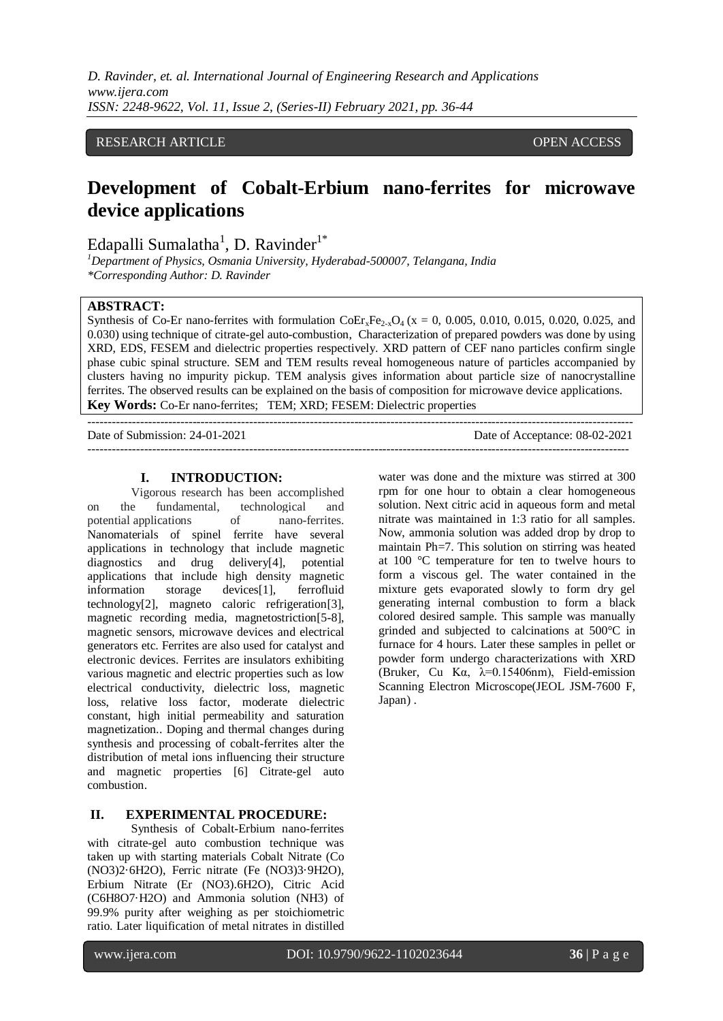## RESEARCH ARTICLE OPEN ACCESS

# **Development of Cobalt-Erbium nano-ferrites for microwave device applications**

## Edapalli Sumalatha<sup>1</sup>, D. Ravinder<sup>1\*</sup>

*<sup>1</sup>Department of Physics, Osmania University, Hyderabad-500007, Telangana, India \*Corresponding Author: D. Ravinder*

## **ABSTRACT:**

Synthesis of Co-Er nano-ferrites with formulation  $CoEr_xFe_{2-x}O_4$  (x = 0, 0.005, 0.010, 0.015, 0.020, 0.025, and 0.030) using technique of citrate-gel auto-combustion, Characterization of prepared powders was done by using XRD, EDS, FESEM and dielectric properties respectively. XRD pattern of CEF nano particles confirm single phase cubic spinal structure. SEM and TEM results reveal homogeneous nature of particles accompanied by clusters having no impurity pickup. TEM analysis gives information about particle size of nanocrystalline ferrites. The observed results can be explained on the basis of composition for microwave device applications. **Key Words:** Co-Er nano-ferrites; TEM; XRD; FESEM: Dielectric properties

Date of Submission: 24-01-2021 Date of Acceptance: 08-02-2021 --------------------------------------------------------------------------------------------------------------------------------------

#### **I. INTRODUCTION:**

---------------------------------------------------------------------------------------------------------------------------------------

Vigorous research has been accomplished on the fundamental, technological and potential applications of nano-ferrites. Nanomaterials of spinel ferrite have several applications in technology that include magnetic diagnostics and drug delivery[4], potential applications that include high density magnetic information storage devices[1], ferrofluid technology[2], magneto caloric refrigeration[3], magnetic recording media, magnetostriction[5-8], magnetic sensors, microwave devices and electrical generators etc. Ferrites are also used for catalyst and electronic devices. Ferrites are insulators exhibiting various magnetic and electric properties such as low electrical conductivity, dielectric loss, magnetic loss, relative loss factor, moderate dielectric constant, high initial permeability and saturation magnetization.. Doping and thermal changes during synthesis and processing of cobalt-ferrites alter the distribution of metal ions influencing their structure and magnetic properties [6] Citrate-gel auto combustion.

## **II. EXPERIMENTAL PROCEDURE:**

Synthesis of Cobalt-Erbium nano-ferrites with citrate-gel auto combustion technique was taken up with starting materials Cobalt Nitrate (Co (NO3)2·6H2O), Ferric nitrate (Fe (NO3)3·9H2O), Erbium Nitrate (Er (NO3).6H2O), Citric Acid (C6H8O7·H2O) and Ammonia solution (NH3) of 99.9% purity after weighing as per stoichiometric ratio. Later liquification of metal nitrates in distilled water was done and the mixture was stirred at 300 rpm for one hour to obtain a clear homogeneous solution. Next citric acid in aqueous form and metal nitrate was maintained in 1:3 ratio for all samples. Now, ammonia solution was added drop by drop to maintain Ph=7. This solution on stirring was heated at 100 °C temperature for ten to twelve hours to form a viscous gel. The water contained in the mixture gets evaporated slowly to form dry gel generating internal combustion to form a black colored desired sample. This sample was manually grinded and subjected to calcinations at 500°C in furnace for 4 hours. Later these samples in pellet or powder form undergo characterizations with XRD (Bruker, Cu Ka,  $\lambda = 0.15406$ nm), Field-emission Scanning Electron Microscope(JEOL JSM-7600 F, Japan) .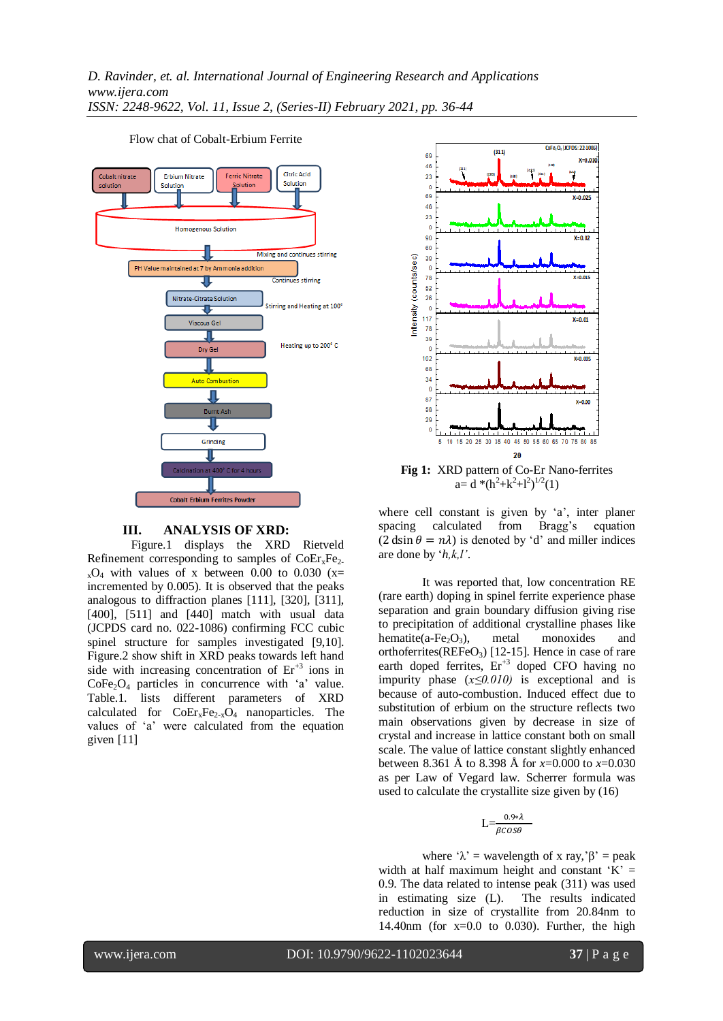

#### Flow chat of Cobalt-Erbium Ferrite

### **III. ANALYSIS OF XRD:**

Figure.1 displays the XRD Rietveld Refinement corresponding to samples of  $CoEr<sub>x</sub>Fe<sub>2</sub>$ .  $_{x}O_{4}$  with values of x between 0.00 to 0.030 (x= incremented by 0.005). It is observed that the peaks analogous to diffraction planes [111], [320], [311], [400], [511] and [440] match with usual data (JCPDS card no. 022-1086) confirming FCC cubic spinel structure for samples investigated [9,10]. Figure.2 show shift in XRD peaks towards left hand side with increasing concentration of  $Er<sup>+3</sup>$  ions in  $CoFe<sub>2</sub>O<sub>4</sub>$  particles in concurrence with 'a' value. Table.1. lists different parameters of XRD calculated for  $CoEr_xFe_{2-x}O_4$  nanoparticles. The values of 'a' were calculated from the equation given [11]



 $a = d * (h^2 + k^2 + l^2)^{1/2}(1)$ where cell constant is given by 'a', inter planer

spacing calculated from Bragg's equation  $(2 \text{ dsin } \theta = n\lambda)$  is denoted by 'd' and miller indices are done by '*h,k,l'*.

It was reported that, low concentration RE (rare earth) doping in spinel ferrite experience phase separation and grain boundary diffusion giving rise to precipitation of additional crystalline phases like hematite(a-Fe<sub>2</sub>O<sub>3</sub>), metal monoxides and orthoferrites(REFeO3) [12-15]. Hence in case of rare earth doped ferrites,  $Er^{+3}$  doped CFO having no impurity phase (*x≤0.010)* is exceptional and is because of auto-combustion. Induced effect due to substitution of erbium on the structure reflects two main observations given by decrease in size of crystal and increase in lattice constant both on small scale. The value of lattice constant slightly enhanced between 8.361 Å to 8.398 Å for *x*=0.000 to *x*=0.030 as per Law of Vegard law. Scherrer formula was used to calculate the crystallite size given by (16)

$$
L\!\!=\!\!\frac{0.9*\lambda}{\beta cos\theta}
$$

where ' $\lambda$ ' = wavelength of x ray, ' $\beta$ ' = peak width at half maximum height and constant  $K' =$ 0.9. The data related to intense peak (311) was used in estimating size (L). The results indicated reduction in size of crystallite from 20.84nm to 14.40nm (for  $x=0.0$  to 0.030). Further, the high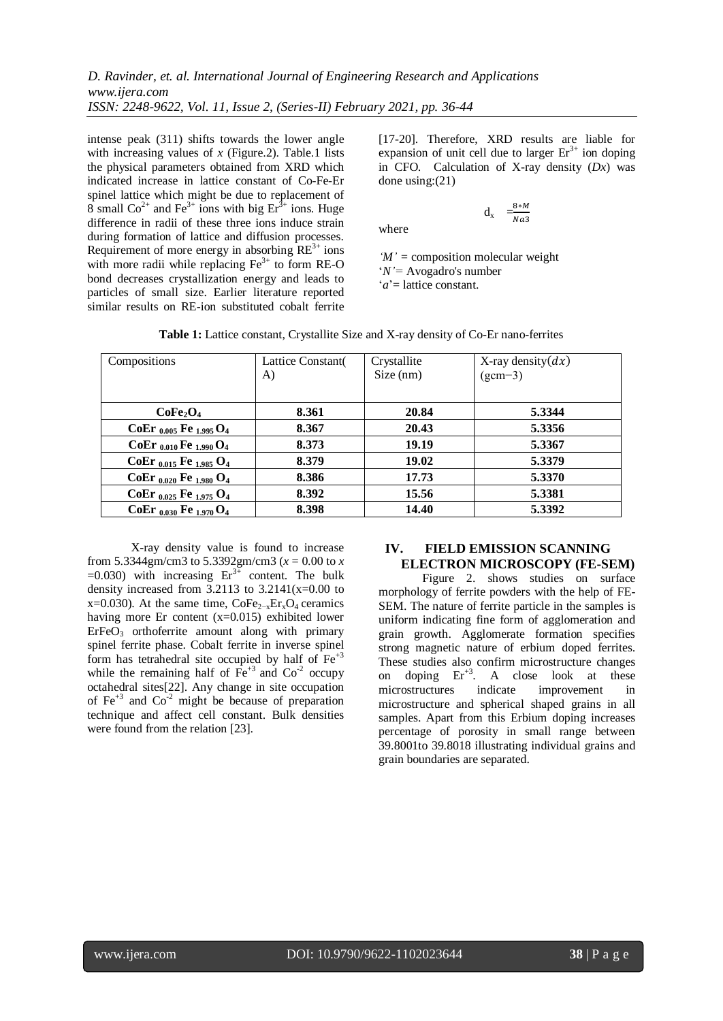intense peak (311) shifts towards the lower angle with increasing values of *x* (Figure.2). Table.1 lists the physical parameters obtained from XRD which indicated increase in lattice constant of Co-Fe-Er spinel lattice which might be due to replacement of 8 small  $Co^{2+}$  and Fe<sup>3+</sup> ions with big Er<sup>3+</sup> ions. Huge difference in radii of these three ions induce strain during formation of lattice and diffusion processes. Requirement of more energy in absorbing  $RE<sup>3+</sup>$  ions with more radii while replacing  $Fe^{3+}$  to form RE-O bond decreases crystallization energy and leads to particles of small size. Earlier literature reported similar results on RE-ion substituted cobalt ferrite [17-20]. Therefore, XRD results are liable for expansion of unit cell due to larger  $Er^{3+}$  ion doping in CFO. Calculation of X-ray density (*Dx*) was done using:(21)

$$
d_x = \frac{8*M}{Na3}
$$

*'M' =* composition molecular weight '*N'=* Avogadro's number '*a*'= lattice constant.

|  |  | Table 1: Lattice constant, Crystallite Size and X-ray density of Co-Er nano-ferrites |
|--|--|--------------------------------------------------------------------------------------|
|--|--|--------------------------------------------------------------------------------------|

where

| Compositions                                             | Lattice Constant<br>A) | Crystallite<br>Size (nm) | X-ray density $(dx)$<br>$(gcm-3)$ |
|----------------------------------------------------------|------------------------|--------------------------|-----------------------------------|
| CoFe <sub>2</sub> O <sub>4</sub>                         | 8.361                  | 20.84                    | 5.3344                            |
| CoEr $_{0.005}$ Fe $_{1.995}$ O <sub>4</sub>             | 8.367                  | 20.43                    | 5.3356                            |
| $CoEr_{0.010}Fe_{1.990}O_4$                              | 8.373                  | 19.19                    | 5.3367                            |
| CoEr $_{0.015}$ Fe $_{1.985}$ O <sub>4</sub>             | 8.379                  | 19.02                    | 5.3379                            |
| $CoEr_{0.020}Fe_{1.980}O_4$                              | 8.386                  | 17.73                    | 5.3370                            |
| CoEr <sub>0.025</sub> Fe <sub>1.975</sub> O <sub>4</sub> | 8.392                  | 15.56                    | 5.3381                            |
| CoEr $_{0.030}$ Fe $_{1.970}$ O <sub>4</sub>             | 8.398                  | 14.40                    | 5.3392                            |

X-ray density value is found to increase from 5.3344gm/cm3 to 5.3392gm/cm3 ( $x = 0.00$  to  $x = 0.00$ )  $=0.030$ ) with increasing  $Er^{3+}$  content. The bulk density increased from  $3.2113$  to  $3.2141(x=0.00)$  to x=0.030). At the same time,  $CoFe_{2-x}Er_xO_4$  ceramics having more Er content (x=0.015) exhibited lower  $ErFeO<sub>3</sub>$  orthoferrite amount along with primary spinel ferrite phase. Cobalt ferrite in inverse spinel form has tetrahedral site occupied by half of  $Fe^{+3}$ while the remaining half of  $Fe^{+3}$  and  $Co^{-2}$  occupy octahedral sites[22]. Any change in site occupation of  $\text{Fe}^{+3}$  and  $\text{Co}^{2}$  might be because of preparation technique and affect cell constant. Bulk densities were found from the relation [23].

## **IV. FIELD EMISSION SCANNING ELECTRON MICROSCOPY (FE-SEM)**

Figure 2. shows studies on surface morphology of ferrite powders with the help of FE-SEM. The nature of ferrite particle in the samples is uniform indicating fine form of agglomeration and grain growth. Agglomerate formation specifies strong magnetic nature of erbium doped ferrites. These studies also confirm microstructure changes on doping  $Er^{+3}$ . A close look at these microstructures indicate improvement in microstructure and spherical shaped grains in all samples. Apart from this Erbium doping increases percentage of porosity in small range between 39.8001to 39.8018 illustrating individual grains and grain boundaries are separated.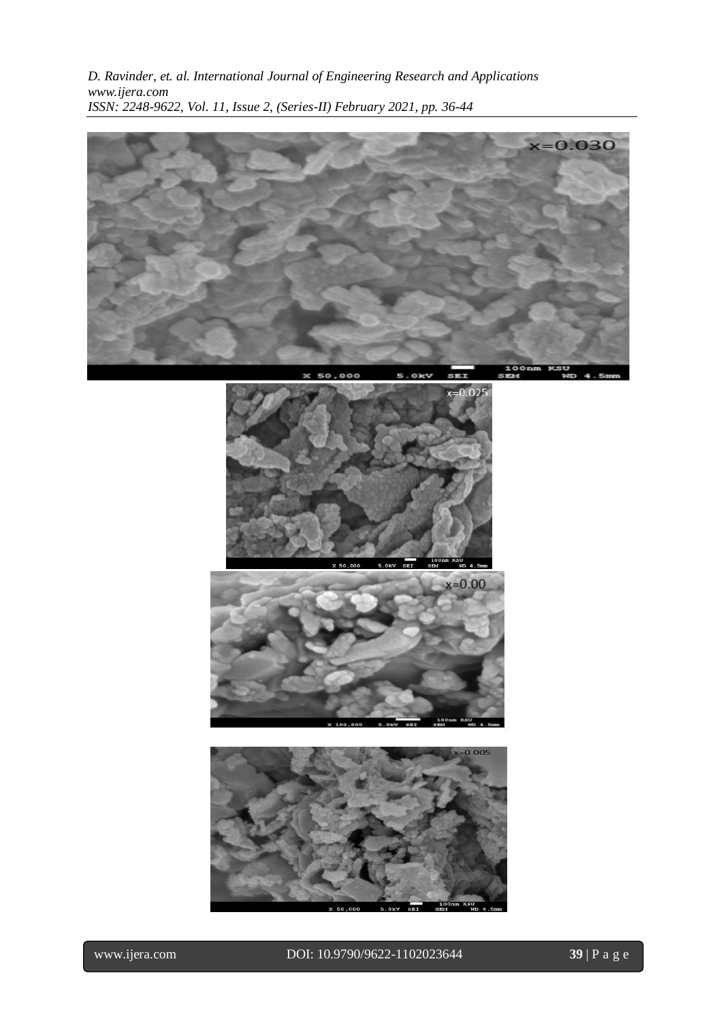





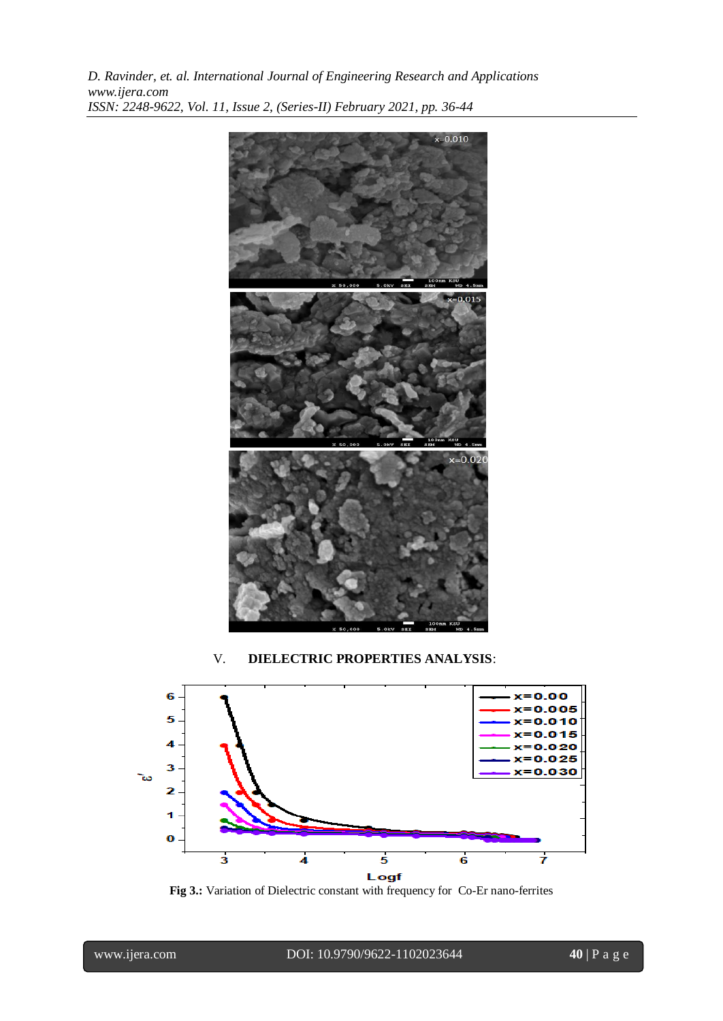

V. **DIELECTRIC PROPERTIES ANALYSIS**:



**Fig 3.:** Variation of Dielectric constant with frequency for Co-Er nano-ferrites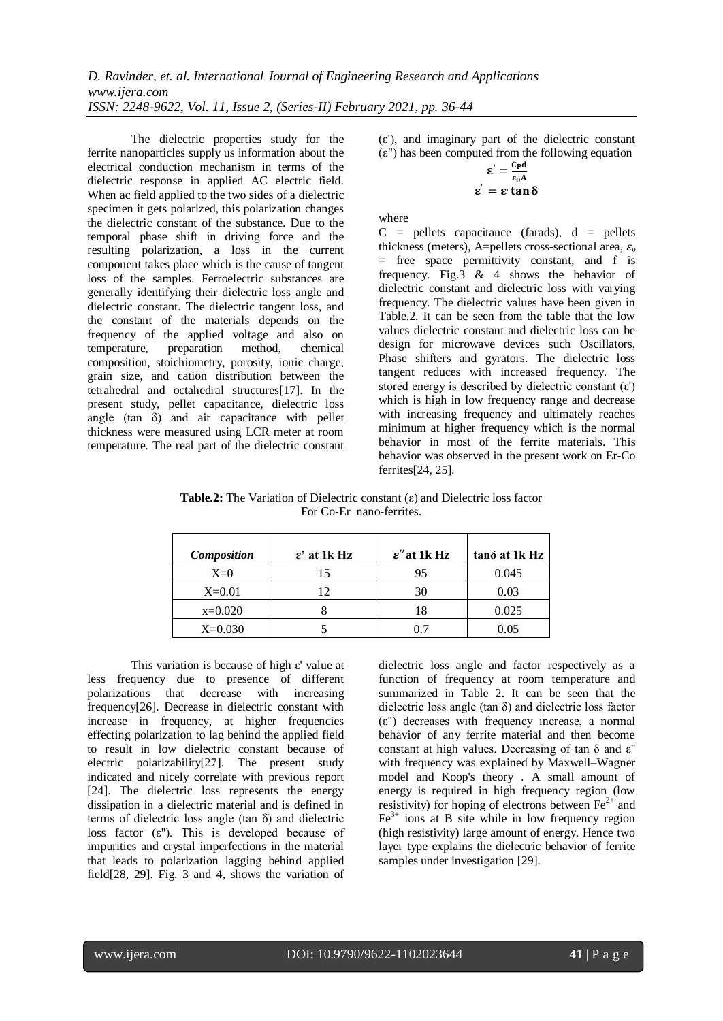The dielectric properties study for the ferrite nanoparticles supply us information about the electrical conduction mechanism in terms of the dielectric response in applied AC electric field. When ac field applied to the two sides of a dielectric specimen it gets polarized, this polarization changes the dielectric constant of the substance. Due to the temporal phase shift in driving force and the resulting polarization, a loss in the current component takes place which is the cause of tangent loss of the samples. Ferroelectric substances are generally identifying their dielectric loss angle and dielectric constant. The dielectric tangent loss, and the constant of the materials depends on the frequency of the applied voltage and also on temperature, preparation method, chemical composition, stoichiometry, porosity, ionic charge, grain size, and cation distribution between the tetrahedral and octahedral structures[17]. In the present study, pellet capacitance, dielectric loss angle (tan  $\delta$ ) and air capacitance with pellet thickness were measured using LCR meter at room temperature. The real part of the dielectric constant

(ε'), and imaginary part of the dielectric constant (ε") has been computed from the following equation

$$
\varepsilon' = \frac{c_{\rm pd}}{\varepsilon_0 A}
$$

$$
\varepsilon^{\prime} = \varepsilon \tan \delta
$$

where

 $C =$  pellets capacitance (farads),  $d =$  pellets thickness (meters), A=pellets cross-sectional area,  $\varepsilon_0$  $=$  free space permittivity constant, and f is frequency. Fig.3 & 4 shows the behavior of dielectric constant and dielectric loss with varying frequency. The dielectric values have been given in Table.2. It can be seen from the table that the low values dielectric constant and dielectric loss can be design for microwave devices such Oscillators, Phase shifters and gyrators. The dielectric loss tangent reduces with increased frequency. The stored energy is described by dielectric constant  $(\varepsilon')$ which is high in low frequency range and decrease with increasing frequency and ultimately reaches minimum at higher frequency which is the normal behavior in most of the ferrite materials. This behavior was observed in the present work on Er-Co ferrites[24, 25].

**Table.2:** The Variation of Dielectric constant (ε) and Dielectric loss factor For Co-Er nano-ferrites.

| <b>Composition</b> | $\epsilon'$ at 1k Hz | $\epsilon$ " at 1k Hz | $tan\delta$ at 1 $k$ Hz |
|--------------------|----------------------|-----------------------|-------------------------|
| $X=0$              | 15                   | 95                    | 0.045                   |
| $X=0.01$           | 12                   | 30                    | 0.03                    |
| $x=0.020$          |                      | 18                    | 0.025                   |
| $X=0.030$          |                      |                       | 0.05                    |

This variation is because of high ε' value at less frequency due to presence of different polarizations that decrease with increasing frequency[26]. Decrease in dielectric constant with increase in frequency, at higher frequencies effecting polarization to lag behind the applied field to result in low dielectric constant because of electric polarizability[27]. The present study indicated and nicely correlate with previous report [24]. The dielectric loss represents the energy dissipation in a dielectric material and is defined in terms of dielectric loss angle (tan  $\delta$ ) and dielectric loss factor  $(\varepsilon'')$ . This is developed because of impurities and crystal imperfections in the material that leads to polarization lagging behind applied field[28, 29]. Fig. 3 and 4, shows the variation of

dielectric loss angle and factor respectively as a function of frequency at room temperature and summarized in Table 2. It can be seen that the dielectric loss angle (tan δ) and dielectric loss factor (ε'') decreases with frequency increase, a normal behavior of any ferrite material and then become constant at high values. Decreasing of tan δ and ε'' with frequency was explained by Maxwell–Wagner model and Koop's theory . A small amount of energy is required in high frequency region (low resistivity) for hoping of electrons between  $Fe<sup>2+</sup>$  and  $Fe<sup>3+</sup>$  ions at B site while in low frequency region (high resistivity) large amount of energy. Hence two layer type explains the dielectric behavior of ferrite samples under investigation [29].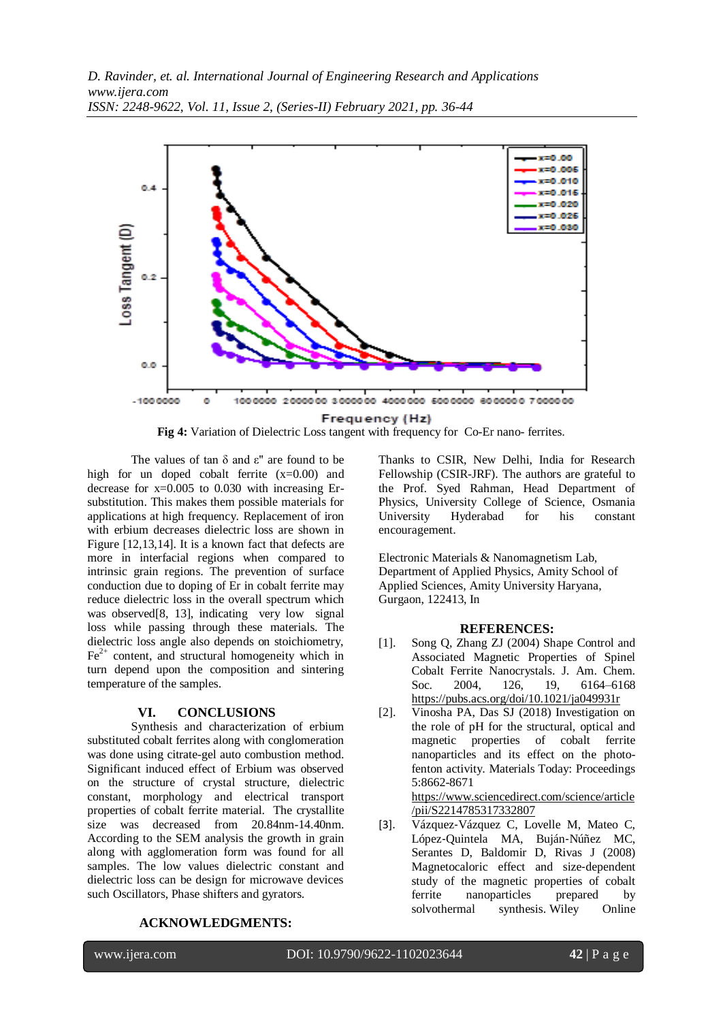

**Fig 4:** Variation of Dielectric Loss tangent with frequency for Co-Er nano- ferrites.

The values of tan  $\delta$  and  $\varepsilon$ " are found to be high for un doped cobalt ferrite  $(x=0.00)$  and decrease for x=0.005 to 0.030 with increasing Ersubstitution. This makes them possible materials for applications at high frequency. Replacement of iron with erbium decreases dielectric loss are shown in Figure [12,13,14]. It is a known fact that defects are more in interfacial regions when compared to intrinsic grain regions. The prevention of surface conduction due to doping of Er in cobalt ferrite may reduce dielectric loss in the overall spectrum which was observed[8, 13], indicating very low signal loss while passing through these materials. The dielectric loss angle also depends on stoichiometry,  $Fe<sup>2+</sup>$  content, and structural homogeneity which in turn depend upon the composition and sintering temperature of the samples.

#### **VI. CONCLUSIONS**

Synthesis and characterization of erbium substituted cobalt ferrites along with conglomeration was done using citrate-gel auto combustion method. Significant induced effect of Erbium was observed on the structure of crystal structure, dielectric constant, morphology and electrical transport properties of cobalt ferrite material. The crystallite size was decreased from 20.84nm-14.40nm. According to the SEM analysis the growth in grain along with agglomeration form was found for all samples. The low values dielectric constant and dielectric loss can be design for microwave devices such Oscillators, Phase shifters and gyrators.

Thanks to CSIR, New Delhi, India for Research Fellowship (CSIR-JRF). The authors are grateful to the Prof. Syed Rahman, Head Department of Physics, University College of Science, Osmania University Hyderabad for his constant encouragement.

Electronic Materials & Nanomagnetism Lab, Department of Applied Physics, Amity School of Applied Sciences, Amity University Haryana, Gurgaon, 122413, In

### **REFERENCES:**

- [1]. Song Q, Zhang ZJ (2004) Shape Control and Associated Magnetic Properties of Spinel Cobalt Ferrite Nanocrystals. J. Am. Chem. Soc. 2004, 126, 19, 6164–6168 <https://pubs.acs.org/doi/10.1021/ja049931r>
- [2]. Vinosha PA, Das SJ (2018) Investigation on the role of pH for the structural, optical and magnetic properties of cobalt ferrite nanoparticles and its effect on the photofenton activity. Materials Today: Proceedings 5:8662-8671

[https://www.sciencedirect.com/science/article](https://www.sciencedirect.com/science/article/pii/S2214785317332807) [/pii/S2214785317332807](https://www.sciencedirect.com/science/article/pii/S2214785317332807)

[3]. Vázquez‐Vázquez C, Lovelle M, Mateo C, López‐Quintela MA, Buján‐Núñez MC, Serantes D, Baldomir D, Rivas J (2008) Magnetocaloric effect and size‐dependent study of the magnetic properties of cobalt ferrite nanoparticles prepared by solvothermal synthesis. Wiley Online

## **ACKNOWLEDGMENTS:**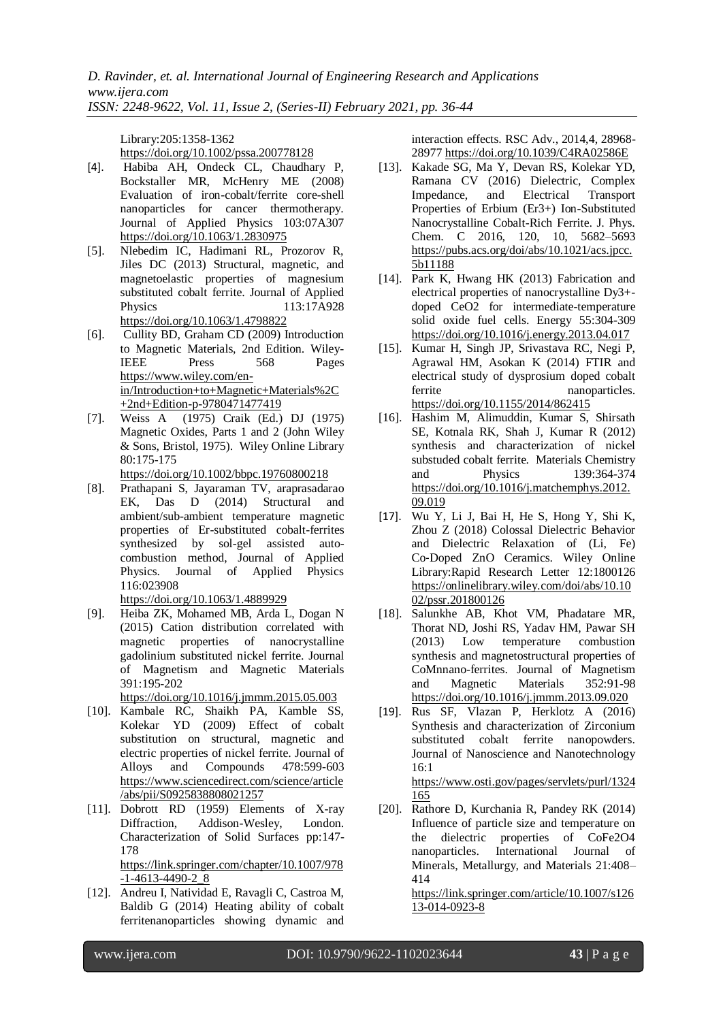Library:205:1358-1362 <https://doi.org/10.1002/pssa.200778128>

- [4]. Habiba AH, Ondeck CL, Chaudhary P, Bockstaller MR, McHenry ME (2008) Evaluation of iron-cobalt/ferrite core-shell nanoparticles for cancer thermotherapy. Journal of Applied Physics 103:07A307 <https://doi.org/10.1063/1.2830975>
- [5]. Nlebedim IC, Hadimani RL, Prozorov R, Jiles DC (2013) Structural, magnetic, and magnetoelastic properties of magnesium substituted cobalt ferrite. Journal of Applied Physics 113:17A928 <https://doi.org/10.1063/1.4798822>
- [6]. Cullity BD, Graham CD (2009) Introduction to Magnetic Materials, 2nd Edition. Wiley-IEEE Press 568 Pages [https://www.wiley.com/en](https://www.wiley.com/en-in/Introduction+to+Magnetic+Materials%2C+2nd+Edition-p-9780471477419)[in/Introduction+to+Magnetic+Materials%2C](https://www.wiley.com/en-in/Introduction+to+Magnetic+Materials%2C+2nd+Edition-p-9780471477419) [+2nd+Edition-p-9780471477419](https://www.wiley.com/en-in/Introduction+to+Magnetic+Materials%2C+2nd+Edition-p-9780471477419)
- [7]. Weiss A (1975) Craik (Ed.) DJ (1975) Magnetic Oxides, Parts 1 and 2 (John Wiley & Sons, Bristol, 1975). Wiley Online Library 80:175-175

<https://doi.org/10.1002/bbpc.19760800218>

[8]. Prathapani S, Jayaraman TV, araprasadarao EK, Das D (2014) Structural and ambient/sub-ambient temperature magnetic properties of Er-substituted cobalt-ferrites synthesized by sol-gel assisted autocombustion method, Journal of Applied Physics. Journal of Applied Physics 116:023908

<https://doi.org/10.1063/1.4889929>

[9]. Heiba ZK, Mohamed MB, Arda L, Dogan N (2015) Cation distribution correlated with magnetic properties of nanocrystalline gadolinium substituted nickel ferrite. Journal of Magnetism and Magnetic Materials 391:195-202

<https://doi.org/10.1016/j.jmmm.2015.05.003>

- [10]. Kambale RC, Shaikh PA, Kamble SS, Kolekar YD (2009) Effect of cobalt substitution on structural, magnetic and electric properties of nickel ferrite. Journal of Alloys and Compounds 478:599-603 [https://www.sciencedirect.com/science/article](https://www.sciencedirect.com/science/article/abs/pii/S0925838808021257) [/abs/pii/S0925838808021257](https://www.sciencedirect.com/science/article/abs/pii/S0925838808021257)
- [11]. Dobrott RD (1959) Elements of X-ray Diffraction, Addison-Wesley, London. Characterization of Solid Surfaces pp:147- 178 [https://link.springer.com/chapter/10.1007/978](https://link.springer.com/chapter/10.1007/978-1-4613-4490-2_8) [-1-4613-4490-2\\_8](https://link.springer.com/chapter/10.1007/978-1-4613-4490-2_8)
- [12]. Andreu I, Natividad E, Ravagli C, Castroa M, Baldib G (2014) Heating ability of cobalt ferritenanoparticles showing dynamic and

interaction effects. RSC Adv., 2014,4, 28968- 2897[7 https://doi.org/10.1039/C4RA02586E](https://doi.org/10.1039/C4RA02586E)

- [13]. Kakade SG, Ma Y, Devan RS, Kolekar YD, Ramana CV (2016) Dielectric, Complex Impedance, and Electrical Transport Properties of Erbium (Er3+) Ion-Substituted Nanocrystalline Cobalt-Rich Ferrite. J. Phys. Chem. C 2016, 120, 10, 5682–5693 [https://pubs.acs.org/doi/abs/10.1021/acs.jpcc.](https://pubs.acs.org/doi/abs/10.1021/acs.jpcc.5b11188) [5b11188](https://pubs.acs.org/doi/abs/10.1021/acs.jpcc.5b11188)
- [14]. Park K, Hwang HK (2013) Fabrication and electrical properties of nanocrystalline Dy3+ doped CeO2 for intermediate-temperature solid oxide fuel cells. Energy 55:304-309 <https://doi.org/10.1016/j.energy.2013.04.017>
- [15]. Kumar H, Singh JP, Srivastava RC, Negi P, Agrawal HM, Asokan K (2014) FTIR and electrical study of dysprosium doped cobalt nanoparticles. <https://doi.org/10.1155/2014/862415>
- [16]. Hashim M, Alimuddin, Kumar S, Shirsath SE, Kotnala RK, Shah J, Kumar R (2012) synthesis and characterization of nickel substuded cobalt ferrite. Materials Chemistry and Physics 139:364-374 [https://doi.org/10.1016/j.matchemphys.2012.](https://doi.org/10.1016/j.matchemphys.2012.09.019) [09.019](https://doi.org/10.1016/j.matchemphys.2012.09.019)
- [17]. Wu Y, Li J, Bai H, He S, Hong Y, Shi K, Zhou Z (2018) Colossal Dielectric Behavior and Dielectric Relaxation of (Li, Fe) Co‐Doped ZnO Ceramics. Wiley Online Library:Rapid Research Letter 12:1800126 [https://onlinelibrary.wiley.com/doi/abs/10.10](https://onlinelibrary.wiley.com/doi/abs/10.1002/pssr.201800126) [02/pssr.201800126](https://onlinelibrary.wiley.com/doi/abs/10.1002/pssr.201800126)
- [18]. Salunkhe AB, Khot VM, Phadatare MR, Thorat ND, Joshi RS, Yadav HM, Pawar SH (2013) Low temperature combustion synthesis and magnetostructural properties of CoMnnano-ferrites. Journal of Magnetism and Magnetic Materials 352:91-98 <https://doi.org/10.1016/j.jmmm.2013.09.020>
- [19]. Rus SF, Vlazan P, Herklotz A (2016) Synthesis and characterization of Zirconium substituted cobalt ferrite nanopowders. Journal of Nanoscience and Nanotechnology 16:1 [https://www.osti.gov/pages/servlets/purl/1324](https://www.osti.gov/pages/servlets/purl/1324165)
- [165](https://www.osti.gov/pages/servlets/purl/1324165) [20]. Rathore D, Kurchania R, Pandey RK (2014) Influence of particle size and temperature on the dielectric properties of CoFe2O4 nanoparticles. International Journal of Minerals, Metallurgy, and Materials 21:408– 414

[https://link.springer.com/article/10.1007/s126](https://link.springer.com/article/10.1007/s12613-014-0923-8) [13-014-0923-8](https://link.springer.com/article/10.1007/s12613-014-0923-8)